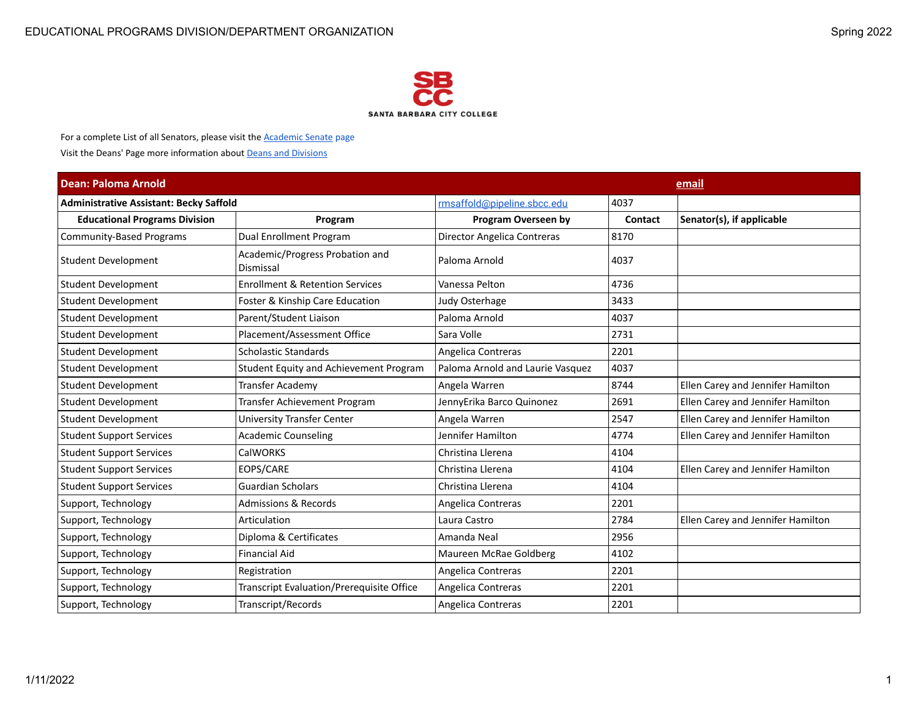

For a complete List of all Senators, please visit the **Academic Senate page** 

Visit the Deans' Page more information about Deans and Divisions

| <b>Dean: Paloma Arnold</b>                     |                                                     |                                  | email          |                                   |  |
|------------------------------------------------|-----------------------------------------------------|----------------------------------|----------------|-----------------------------------|--|
| <b>Administrative Assistant: Becky Saffold</b> |                                                     | rmsaffold@pipeline.sbcc.edu      | 4037           |                                   |  |
| <b>Educational Programs Division</b>           | Program                                             | <b>Program Overseen by</b>       | <b>Contact</b> | Senator(s), if applicable         |  |
| <b>Community-Based Programs</b>                | <b>Dual Enrollment Program</b>                      | Director Angelica Contreras      | 8170           |                                   |  |
| Student Development                            | Academic/Progress Probation and<br><b>Dismissal</b> | Paloma Arnold                    | 4037           |                                   |  |
| Student Development                            | <b>Enrollment &amp; Retention Services</b>          | Vanessa Pelton                   | 4736           |                                   |  |
| Student Development                            | Foster & Kinship Care Education                     | Judy Osterhage                   | 3433           |                                   |  |
| Student Development                            | Parent/Student Liaison                              | Paloma Arnold                    | 4037           |                                   |  |
| <b>Student Development</b>                     | Placement/Assessment Office                         | Sara Volle                       | 2731           |                                   |  |
| Student Development                            | <b>Scholastic Standards</b>                         | Angelica Contreras               | 2201           |                                   |  |
| Student Development                            | Student Equity and Achievement Program              | Paloma Arnold and Laurie Vasquez | 4037           |                                   |  |
| <b>Student Development</b>                     | <b>Transfer Academy</b>                             | Angela Warren                    | 8744           | Ellen Carey and Jennifer Hamilton |  |
| <b>Student Development</b>                     | <b>Transfer Achievement Program</b>                 | JennyErika Barco Quinonez        | 2691           | Ellen Carey and Jennifer Hamilton |  |
| Student Development                            | University Transfer Center                          | Angela Warren                    | 2547           | Ellen Carey and Jennifer Hamilton |  |
| <b>Student Support Services</b>                | <b>Academic Counseling</b>                          | Jennifer Hamilton                | 4774           | Ellen Carey and Jennifer Hamilton |  |
| <b>Student Support Services</b>                | <b>CalWORKS</b>                                     | Christina Llerena                | 4104           |                                   |  |
| <b>Student Support Services</b>                | EOPS/CARE                                           | Christina Llerena                | 4104           | Ellen Carey and Jennifer Hamilton |  |
| <b>Student Support Services</b>                | <b>Guardian Scholars</b>                            | Christina Llerena                | 4104           |                                   |  |
| Support, Technology                            | <b>Admissions &amp; Records</b>                     | Angelica Contreras               | 2201           |                                   |  |
| Support, Technology                            | Articulation                                        | Laura Castro                     | 2784           | Ellen Carey and Jennifer Hamilton |  |
| Support, Technology                            | Diploma & Certificates                              | Amanda Neal                      | 2956           |                                   |  |
| Support, Technology                            | <b>Financial Aid</b>                                | Maureen McRae Goldberg           | 4102           |                                   |  |
| Support, Technology                            | Registration                                        | Angelica Contreras               | 2201           |                                   |  |
| Support, Technology                            | Transcript Evaluation/Prerequisite Office           | Angelica Contreras               | 2201           |                                   |  |
| Support, Technology                            | Transcript/Records                                  | Angelica Contreras               | 2201           |                                   |  |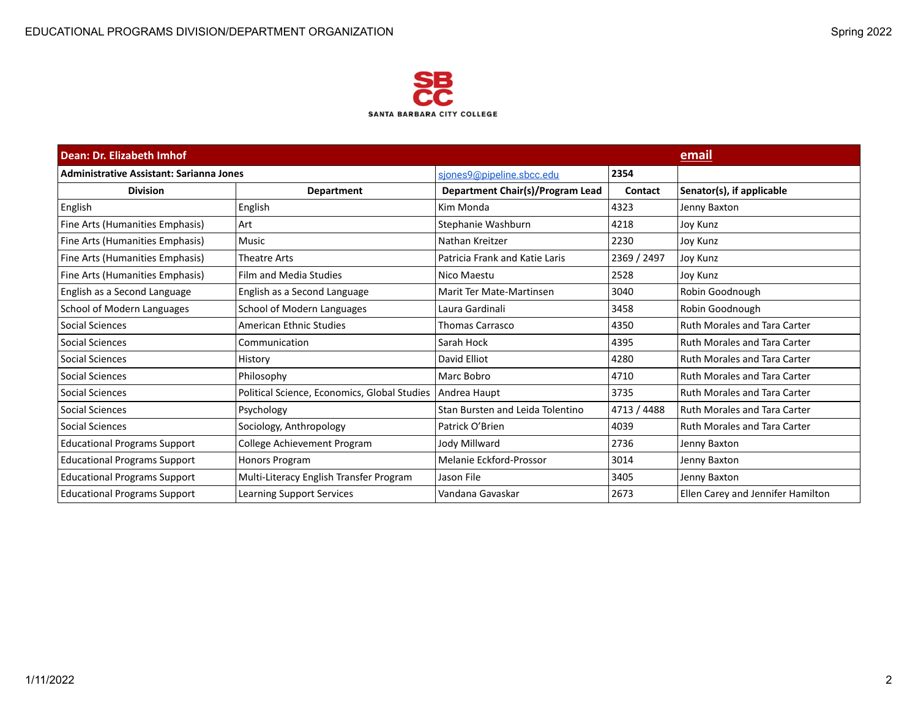

| Dean: Dr. Elizabeth Imhof                       |                                              |                                  |             | email                               |
|-------------------------------------------------|----------------------------------------------|----------------------------------|-------------|-------------------------------------|
| <b>Administrative Assistant: Sarianna Jones</b> |                                              | sjones9@pipeline.sbcc.edu        | 2354        |                                     |
| <b>Division</b>                                 | <b>Department</b>                            | Department Chair(s)/Program Lead | Contact     | Senator(s), if applicable           |
| English                                         | English                                      | Kim Monda                        | 4323        | Jenny Baxton                        |
| Fine Arts (Humanities Emphasis)                 | Art                                          | Stephanie Washburn               | 4218        | Joy Kunz                            |
| Fine Arts (Humanities Emphasis)                 | <b>Music</b>                                 | Nathan Kreitzer                  | 2230        | Joy Kunz                            |
| Fine Arts (Humanities Emphasis)                 | <b>Theatre Arts</b>                          | Patricia Frank and Katie Laris   | 2369 / 2497 | Joy Kunz                            |
| Fine Arts (Humanities Emphasis)                 | Film and Media Studies                       | Nico Maestu                      | 2528        | Joy Kunz                            |
| English as a Second Language                    | English as a Second Language                 | Marit Ter Mate-Martinsen         | 3040        | Robin Goodnough                     |
| School of Modern Languages                      | School of Modern Languages                   | Laura Gardinali                  | 3458        | Robin Goodnough                     |
| Social Sciences                                 | American Ethnic Studies                      | <b>Thomas Carrasco</b>           | 4350        | <b>Ruth Morales and Tara Carter</b> |
| Social Sciences                                 | Communication                                | Sarah Hock                       | 4395        | <b>Ruth Morales and Tara Carter</b> |
| Social Sciences                                 | History                                      | David Elliot                     | 4280        | <b>Ruth Morales and Tara Carter</b> |
| Social Sciences                                 | Philosophy                                   | Marc Bobro                       | 4710        | <b>Ruth Morales and Tara Carter</b> |
| Social Sciences                                 | Political Science, Economics, Global Studies | Andrea Haupt                     | 3735        | <b>Ruth Morales and Tara Carter</b> |
| Social Sciences                                 | Psychology                                   | Stan Bursten and Leida Tolentino | 4713 / 4488 | <b>Ruth Morales and Tara Carter</b> |
| Social Sciences                                 | Sociology, Anthropology                      | Patrick O'Brien                  | 4039        | <b>Ruth Morales and Tara Carter</b> |
| <b>Educational Programs Support</b>             | College Achievement Program                  | Jody Millward                    | 2736        | Jenny Baxton                        |
| <b>Educational Programs Support</b>             | Honors Program                               | Melanie Eckford-Prossor          | 3014        | Jenny Baxton                        |
| <b>Educational Programs Support</b>             | Multi-Literacy English Transfer Program      | Jason File                       | 3405        | Jenny Baxton                        |
| <b>Educational Programs Support</b>             | <b>Learning Support Services</b>             | Vandana Gavaskar                 | 2673        | Ellen Carey and Jennifer Hamilton   |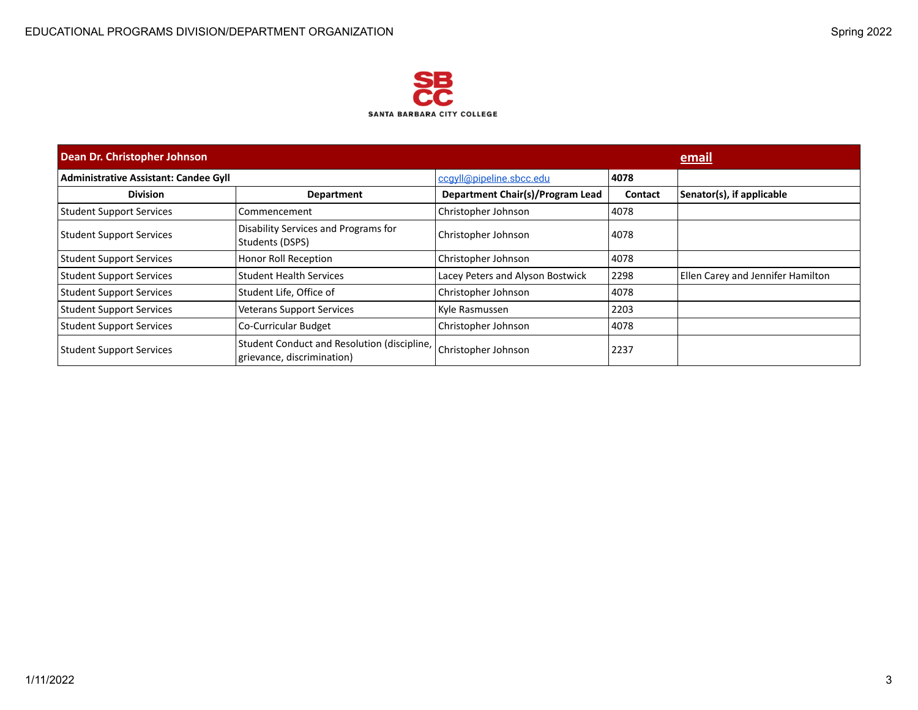

| Dean Dr. Christopher Johnson                 |                                                                           |                                  |                | email                             |
|----------------------------------------------|---------------------------------------------------------------------------|----------------------------------|----------------|-----------------------------------|
| <b>Administrative Assistant: Candee Gyll</b> |                                                                           | ccgyll@pipeline.sbcc.edu         | 4078           |                                   |
| <b>Division</b>                              | <b>Department</b>                                                         | Department Chair(s)/Program Lead | <b>Contact</b> | Senator(s), if applicable         |
| <b>Student Support Services</b>              | Commencement                                                              | Christopher Johnson              | 4078           |                                   |
| <b>Student Support Services</b>              | Disability Services and Programs for<br>Students (DSPS)                   | Christopher Johnson              | 4078           |                                   |
| <b>Student Support Services</b>              | Honor Roll Reception                                                      | Christopher Johnson              | 4078           |                                   |
| <b>Student Support Services</b>              | <b>Student Health Services</b>                                            | Lacey Peters and Alyson Bostwick | 2298           | Ellen Carey and Jennifer Hamilton |
| <b>Student Support Services</b>              | Student Life, Office of                                                   | Christopher Johnson              | 4078           |                                   |
| <b>Student Support Services</b>              | <b>Veterans Support Services</b>                                          | Kyle Rasmussen                   | 2203           |                                   |
| <b>Student Support Services</b>              | <b>Co-Curricular Budget</b>                                               | Christopher Johnson              | 4078           |                                   |
| <b>Student Support Services</b>              | Student Conduct and Resolution (discipline,<br>grievance, discrimination) | Christopher Johnson              | 2237           |                                   |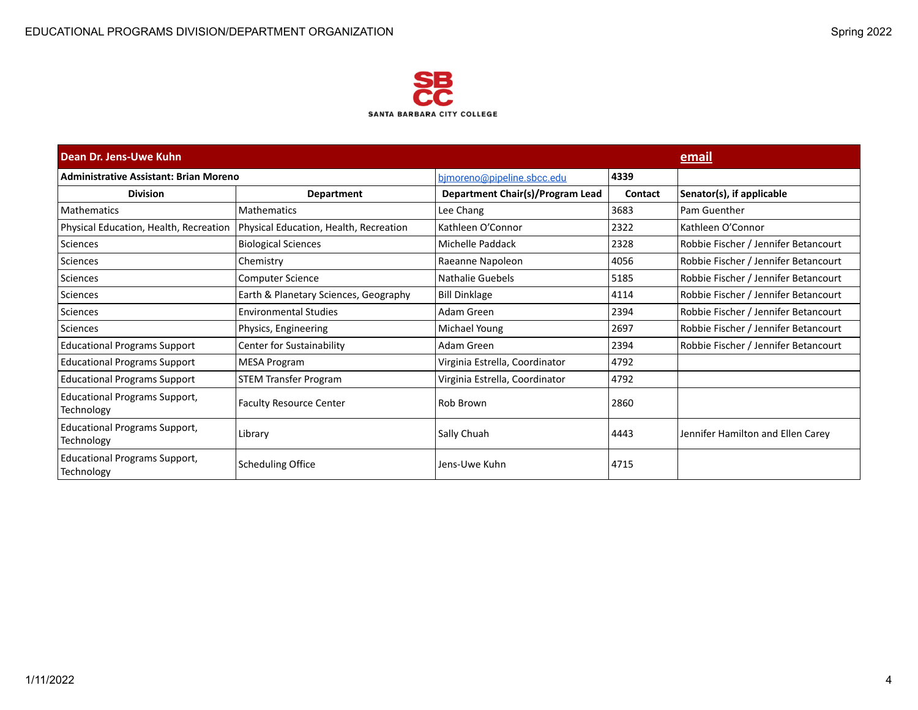

| Dean Dr. Jens-Uwe Kuhn                             |                                        |                                  |                | email                                |
|----------------------------------------------------|----------------------------------------|----------------------------------|----------------|--------------------------------------|
| <b>Administrative Assistant: Brian Moreno</b>      |                                        | bjmoreno@pipeline.sbcc.edu       | 4339           |                                      |
| <b>Division</b>                                    | <b>Department</b>                      | Department Chair(s)/Program Lead | <b>Contact</b> | Senator(s), if applicable            |
| <b>Mathematics</b>                                 | <b>Mathematics</b>                     | Lee Chang                        | 3683           | Pam Guenther                         |
| Physical Education, Health, Recreation             | Physical Education, Health, Recreation | Kathleen O'Connor                | 2322           | Kathleen O'Connor                    |
| Sciences                                           | <b>Biological Sciences</b>             | Michelle Paddack                 | 2328           | Robbie Fischer / Jennifer Betancourt |
| Sciences                                           | Chemistry                              | Raeanne Napoleon                 | 4056           | Robbie Fischer / Jennifer Betancourt |
| Sciences                                           | <b>Computer Science</b>                | Nathalie Guebels                 | 5185           | Robbie Fischer / Jennifer Betancourt |
| <b>Sciences</b>                                    | Earth & Planetary Sciences, Geography  | <b>Bill Dinklage</b>             | 4114           | Robbie Fischer / Jennifer Betancourt |
| Sciences                                           | <b>Environmental Studies</b>           | Adam Green                       | 2394           | Robbie Fischer / Jennifer Betancourt |
| Sciences                                           | Physics, Engineering                   | Michael Young                    | 2697           | Robbie Fischer / Jennifer Betancourt |
| <b>Educational Programs Support</b>                | Center for Sustainability              | Adam Green                       | 2394           | Robbie Fischer / Jennifer Betancourt |
| <b>Educational Programs Support</b>                | <b>MESA Program</b>                    | Virginia Estrella, Coordinator   | 4792           |                                      |
| <b>Educational Programs Support</b>                | <b>STEM Transfer Program</b>           | Virginia Estrella, Coordinator   | 4792           |                                      |
| <b>Educational Programs Support,</b><br>Technology | <b>Faculty Resource Center</b>         | Rob Brown                        | 2860           |                                      |
| <b>Educational Programs Support,</b><br>Technology | Library                                | Sally Chuah                      | 4443           | Jennifer Hamilton and Ellen Carey    |
| <b>Educational Programs Support,</b><br>Technology | <b>Scheduling Office</b>               | Jens-Uwe Kuhn                    | 4715           |                                      |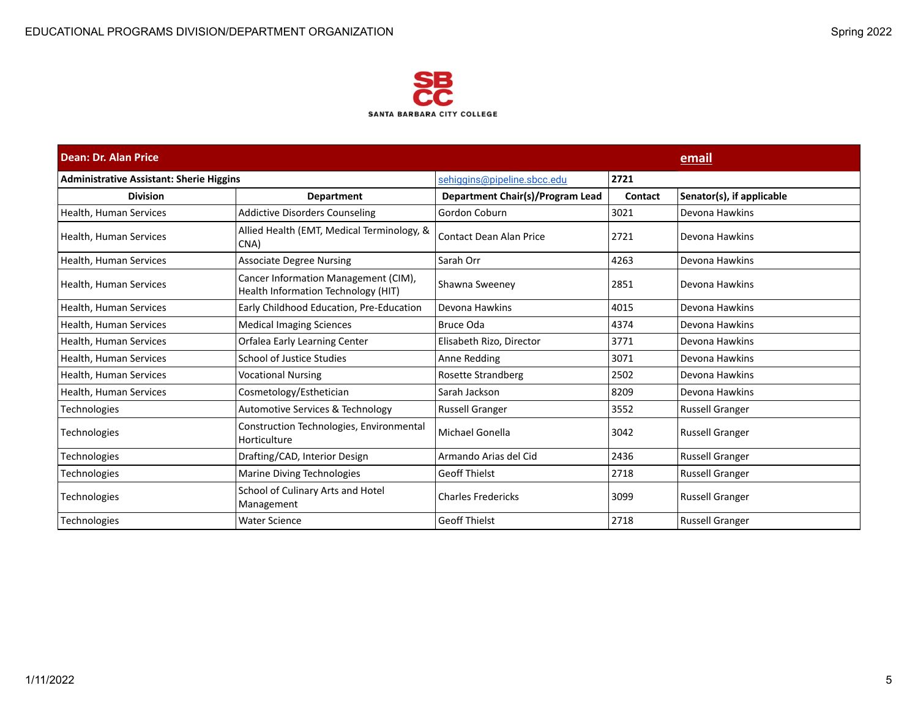

| Dean: Dr. Alan Price                            |                                                                             |                                  | email   |                           |  |
|-------------------------------------------------|-----------------------------------------------------------------------------|----------------------------------|---------|---------------------------|--|
| <b>Administrative Assistant: Sherie Higgins</b> |                                                                             | sehiggins@pipeline.sbcc.edu      | 2721    |                           |  |
| <b>Division</b>                                 | <b>Department</b>                                                           | Department Chair(s)/Program Lead | Contact | Senator(s), if applicable |  |
| Health, Human Services                          | <b>Addictive Disorders Counseling</b>                                       | Gordon Coburn                    | 3021    | Devona Hawkins            |  |
| Health, Human Services                          | Allied Health (EMT, Medical Terminology, &<br>CNA)                          | Contact Dean Alan Price          | 2721    | Devona Hawkins            |  |
| Health, Human Services                          | <b>Associate Degree Nursing</b>                                             | Sarah Orr                        | 4263    | Devona Hawkins            |  |
| Health, Human Services                          | Cancer Information Management (CIM),<br>Health Information Technology (HIT) | Shawna Sweeney                   | 2851    | Devona Hawkins            |  |
| Health, Human Services                          | Early Childhood Education, Pre-Education                                    | Devona Hawkins                   | 4015    | Devona Hawkins            |  |
| Health, Human Services                          | <b>Medical Imaging Sciences</b>                                             | Bruce Oda                        | 4374    | Devona Hawkins            |  |
| Health, Human Services                          | Orfalea Early Learning Center                                               | Elisabeth Rizo, Director         | 3771    | Devona Hawkins            |  |
| Health, Human Services                          | <b>School of Justice Studies</b>                                            | Anne Redding                     | 3071    | Devona Hawkins            |  |
| Health, Human Services                          | <b>Vocational Nursing</b>                                                   | Rosette Strandberg               | 2502    | Devona Hawkins            |  |
| Health, Human Services                          | Cosmetology/Esthetician                                                     | Sarah Jackson                    | 8209    | Devona Hawkins            |  |
| <b>Technologies</b>                             | Automotive Services & Technology                                            | Russell Granger                  | 3552    | <b>Russell Granger</b>    |  |
| Technologies                                    | Construction Technologies, Environmental<br>Horticulture                    | Michael Gonella                  | 3042    | <b>Russell Granger</b>    |  |
| <b>Technologies</b>                             | Drafting/CAD, Interior Design                                               | Armando Arias del Cid            | 2436    | <b>Russell Granger</b>    |  |
| <b>Technologies</b>                             | Marine Diving Technologies                                                  | <b>Geoff Thielst</b>             | 2718    | <b>Russell Granger</b>    |  |
| Technologies                                    | School of Culinary Arts and Hotel<br>Management                             | <b>Charles Fredericks</b>        | 3099    | <b>Russell Granger</b>    |  |
| Technologies                                    | <b>Water Science</b>                                                        | <b>Geoff Thielst</b>             | 2718    | Russell Granger           |  |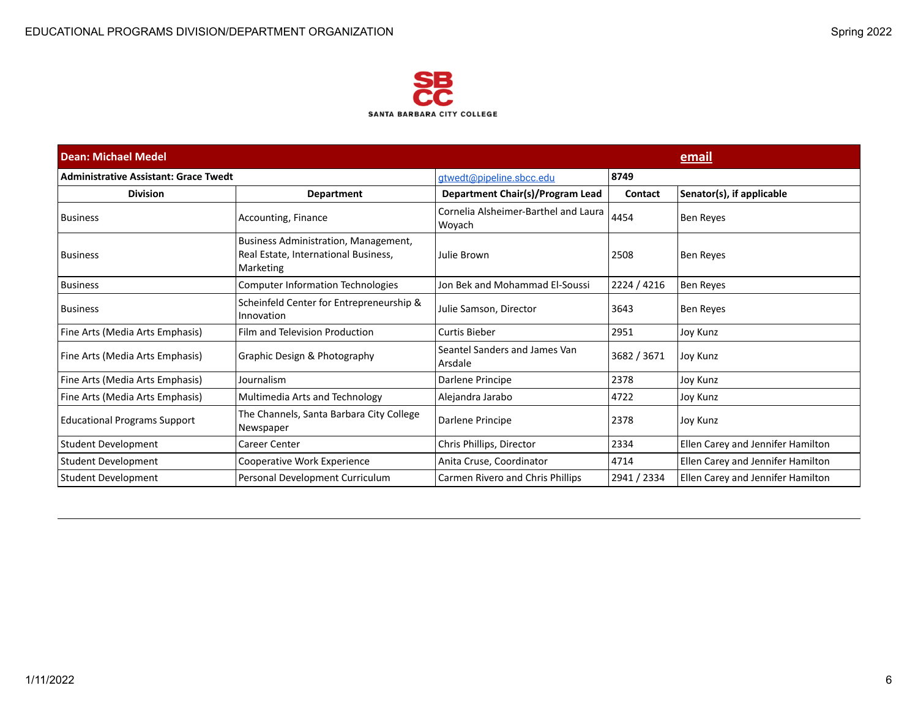

| <b>Dean: Michael Medel</b>                   |                                                                                           |                                                | email       |                                   |
|----------------------------------------------|-------------------------------------------------------------------------------------------|------------------------------------------------|-------------|-----------------------------------|
| <b>Administrative Assistant: Grace Twedt</b> |                                                                                           | gtwedt@pipeline.sbcc.edu                       | 8749        |                                   |
| <b>Division</b>                              | <b>Department</b>                                                                         | Department Chair(s)/Program Lead               | Contact     | Senator(s), if applicable         |
| <b>Business</b>                              | Accounting, Finance                                                                       | Cornelia Alsheimer-Barthel and Laura<br>Woyach | 4454        | <b>Ben Reyes</b>                  |
| <b>Business</b>                              | Business Administration, Management,<br>Real Estate, International Business,<br>Marketing | Julie Brown                                    | 2508        | <b>Ben Reves</b>                  |
| <b>Business</b>                              | <b>Computer Information Technologies</b>                                                  | Jon Bek and Mohammad El-Soussi                 | 2224 / 4216 | <b>Ben Reyes</b>                  |
| <b>Business</b>                              | Scheinfeld Center for Entrepreneurship &<br>Innovation                                    | Julie Samson, Director                         | 3643        | <b>Ben Reyes</b>                  |
| Fine Arts (Media Arts Emphasis)              | Film and Television Production                                                            | Curtis Bieber                                  | 2951        | Joy Kunz                          |
| Fine Arts (Media Arts Emphasis)              | Graphic Design & Photography                                                              | Seantel Sanders and James Van<br>Arsdale       | 3682 / 3671 | Joy Kunz                          |
| Fine Arts (Media Arts Emphasis)              | Journalism                                                                                | Darlene Principe                               | 2378        | Joy Kunz                          |
| Fine Arts (Media Arts Emphasis)              | Multimedia Arts and Technology                                                            | Alejandra Jarabo                               | 4722        | Joy Kunz                          |
| <b>Educational Programs Support</b>          | The Channels, Santa Barbara City College<br>Newspaper                                     | Darlene Principe                               | 2378        | Joy Kunz                          |
| Student Development                          | Career Center                                                                             | Chris Phillips, Director                       | 2334        | Ellen Carey and Jennifer Hamilton |
| Student Development                          | Cooperative Work Experience                                                               | Anita Cruse, Coordinator                       | 4714        | Ellen Carey and Jennifer Hamilton |
| Student Development                          | Personal Development Curriculum                                                           | Carmen Rivero and Chris Phillips               | 2941 / 2334 | Ellen Carey and Jennifer Hamilton |